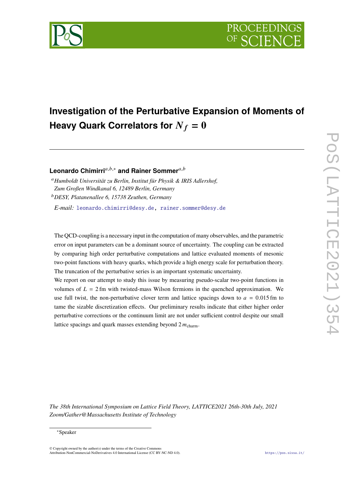

# **Investigation of the Perturbative Expansion of Moments of Heavy Quark Correlators for**  $N_f = 0$

Leonardo Chimirri<sup>a,b,\*</sup> and Rainer Sommer<sup>a,b</sup>

<sup>𝑎</sup>*Humboldt Universität zu Berlin, Institut für Physik & IRIS Adlershof, Zum Großen Windkanal 6, 12489 Berlin, Germany* <sup>𝑏</sup>*DESY, Platanenallee 6, 15738 Zeuthen, Germany*

*E-mail:* [leonardo.chimirri@desy.de,](mailto:leonardo.chimirri@desy.de) [rainer.sommer@desy.de](mailto:rainer.sommer@desy.de)

The QCD-coupling is a necessary input in the computation of many observables, and the parametric error on input parameters can be a dominant source of uncertainty. The coupling can be extracted by comparing high order perturbative computations and lattice evaluated moments of mesonic two-point functions with heavy quarks, which provide a high energy scale for perturbation theory. The truncation of the perturbative series is an important systematic uncertainty.

We report on our attempt to study this issue by measuring pseudo-scalar two-point functions in volumes of  $L = 2$  fm with twisted-mass Wilson fermions in the quenched approximation. We use full twist, the non-perturbative clover term and lattice spacings down to  $a = 0.015$  fm to tame the sizable discretization effects. Our preliminary results indicate that either higher order perturbative corrections or the continuum limit are not under sufficient control despite our small lattice spacings and quark masses extending beyond  $2 m_{\text{charm}}$ .

 $\overline{\phantom{0}}$ 

*The 38th International Symposium on Lattice Field Theory, LATTICE2021 26th-30th July, 2021 Zoom/Gather@Massachusetts Institute of Technology*

### ∗Speaker

 $\odot$  Copyright owned by the author(s) under the terms of the Creative Common Attribution-NonCommercial-NoDerivatives 4.0 International License (CC BY-NC-ND 4.0). <https://pos.sissa.it/>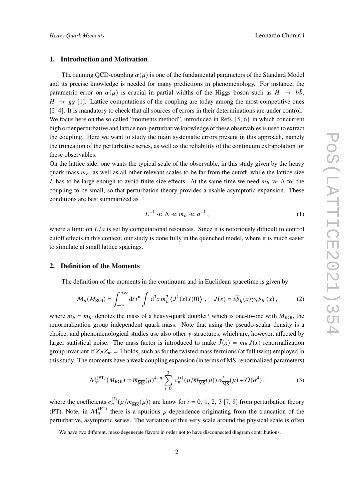# **1. Introduction and Motivation**

The running QCD-coupling  $\alpha(\mu)$  is one of the fundamental parameters of the Standard Model and its precise knowledge is needed for many predictions in phenomenology. For instance, the parametric error on  $\alpha(\mu)$  is crucial in partial widths of the Higgs boson such as  $H \rightarrow b\bar{b}$ ,  $H \rightarrow gg$  [\[1\]](#page-8-0). Lattice computations of the coupling are today among the most competitive ones [\[2](#page-8-1)[–4\]](#page-8-2). It is mandatory to check that all sources of errors in their determinations are under control. We focus here on the so called "moments method", introduced in Refs. [\[5,](#page-8-3) [6\]](#page-8-4), in which concurrent high order perturbative and lattice non-perturbative knowledge of these observables is used to extract the coupling. Here we want to study the main systematic errors present in this approach, namely the truncation of the perturbative series, as well as the reliability of the continuum extrapolation for these observables.

On the lattice side, one wants the typical scale of the observable, in this study given by the heavy quark mass  $m_h$ , as well as all other relevant scales to be far from the cutoff, while the lattice size L has to be large enough to avoid finite size effects. At the same time we need  $m_h \gg \Lambda$  for the coupling to be small, so that perturbation theory provides a usable asymptotic expansion. These conditions are best summarized as

$$
L^{-1} \ll \Lambda \ll m_h \ll a^{-1},\tag{1}
$$

where a limit on  $L/a$  is set by computational resources. Since it is notoriously difficult to control cutoff effects in this context, our study is done fully in the quenched model, where it is much easier to simulate at small lattice spacings.

### **2. Definition of the Moments**

The definition of the moments in the continuum and in Euclidean spacetime is given by

<span id="page-1-1"></span>
$$
\mathcal{M}_n(M_{\text{RGI}}) = \int_{-\infty}^{+\infty} dt \, t^n \int d^3x \, m_h^2 \left\langle J^\dagger(x) J(0) \right\rangle \, , \quad J(x) = i \overline{\psi}_h(x) \gamma_5 \psi_{h'}(x) \, , \tag{2}
$$

where  $m_h = m_{h'}$  denotes the mass of a heavy-quark doublet<sup>[1](#page-1-0)</sup> which is one-to-one with  $M_{\text{RGI}}$ , the renormalization group independent quark mass. Note that using the pseudo-scalar density is a choice, and phenomenological studies use also other  $\gamma$ -structures, which are, however, affected by larger statistical noise. The mass factor is introduced to make  $\bar{J}(x) = m_h J(x)$  renormalization group invariant if  $Z_P Z_m = 1$  holds, such as for the twisted mass fermions (at full twist) employed in this study. The moments have a weak coupling expansion (in terms of  $\overline{MS}$ -renormalized parameters)

<span id="page-1-2"></span>
$$
\mathcal{M}_n^{(\text{PT})}(M_{\text{RGI}}) = \overline{m}_{\overline{\text{MS}}}(\mu)^{4-n} \sum_{i=0}^3 c_n^{(i)}(\mu/\overline{m}_{\overline{\text{MS}}}(\mu)) \alpha_{\overline{\text{MS}}}^i(\mu) + O(\alpha^4) ,\tag{3}
$$

where the coefficients  $c_n^{(i)}(\mu/\overline{m}_{\overline{\rm MS}}(\mu))$  are know for  $i = 0, 1, 2, 3$  [\[7,](#page-8-5) [8\]](#page-8-6) from perturbation theory (PT). Note, in  $\mathcal{M}_n^{(PT)}$  there is a spurious  $\mu$ -dependence originating from the truncation of the perturbative, asymptotic series. The variation of this very scale around the physical scale is often

<span id="page-1-0"></span><sup>&</sup>lt;sup>1</sup>We have two different, mass-degenerate flavors in order not to have disconnected diagram contributions.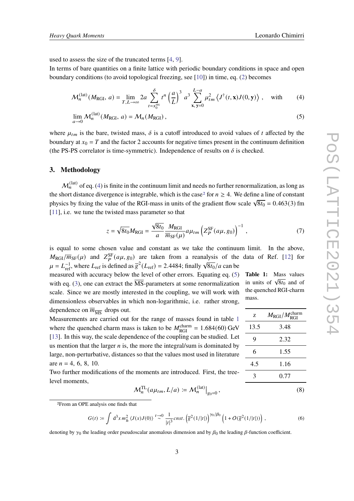<span id="page-2-3"></span><span id="page-2-2"></span>z  $M_{\rm RGI}/M_{\rm RGI}^{\rm charm}$ 

13.5 3.48

9 2.32

6 1.55

4.5 1.16 3 0.77

used to assess the size of the truncated terms [\[4,](#page-8-2) [9\]](#page-8-7).

In terms of bare quantities on a finite lattice with periodic boundary conditions in space and open boundary conditions (to avoid topological freezing, see [\[10\]](#page-8-8)) in time, eq. [\(2\)](#page-1-1) becomes

$$
\mathcal{M}_n^{(\text{lat})}(M_{\text{RGI}}, a) = \lim_{T, L \to \infty} 2a \sum_{t = x_0^{\text{src}}}^{\delta} t^n \left(\frac{a}{L}\right)^3 a^3 \sum_{\mathbf{x}, \mathbf{y} = 0}^{L-a} \mu_{tm}^2 \left\langle J^\dagger(t, \mathbf{x}) J(0, \mathbf{y}) \right\rangle, \quad \text{with} \tag{4}
$$

<span id="page-2-0"></span>
$$
\lim_{a \to 0} \mathcal{M}_n^{(\text{lat})}(M_{\text{RGI}}, a) = \mathcal{M}_n(M_{\text{RGI}}),
$$
\n(5)

where  $\mu_{tm}$  is the bare, twisted mass,  $\delta$  is a cutoff introduced to avoid values of t affected by the boundary at  $x_0 = T$  and the factor 2 accounts for negative times present in the continuum definition (the PS-PS correlator is time-symmetric). Independence of results on  $\delta$  is checked.

#### **3. Methodology**

 $\mathcal{M}_n^{(\text{lat})}$  of eq. [\(4\)](#page-2-0) is finite in the continuum limit and needs no further renormalization, as long as the short distance divergence is integrable, which is the case<sup>[2](#page-2-1)</sup> for  $n \geq 4$ . We define a line of constant physics by fixing the value of the RGI-mass in units of the gradient flow scale  $\sqrt{8t_0} = 0.463(3)$  fm [\[11\]](#page-8-9), i.e. we tune the twisted mass parameter so that

$$
z = \sqrt{8t_0} M_{\text{RGI}} = \frac{\sqrt{8t_0}}{a} \frac{M_{\text{RGI}}}{\overline{m}_{\text{SF}}(\mu)} a \mu_{tm} \left( Z_P^{\text{SF}}(a\mu, g_0) \right)^{-1}, \tag{7}
$$

is equal to some chosen value and constant as we take the continuum limit. In the above,  $M_{\rm RGI}/\overline{m}_{\rm SF}(\mu)$  and  $Z_P^{\rm SF}(a\mu, g_0)$  are taken from a reanalysis of the data of Ref. [\[12\]](#page-9-0) for  $\mu = L_{\text{ref}}^{-1}$ , where  $L_{\text{ref}}$  is defined as  $\overline{g}^2(L_{\text{ref}}) = 2.4484$ ; finally  $\sqrt{8t_0}/a$  can be

**Table 1:** Mass values **in units of**  $\sqrt{8t_0}$  **and of** the quenched RGI-charm mass. measured with accuracy below the level of other errors. Equating eq. [\(5\)](#page-2-2) with eq. [\(3\)](#page-1-2), one can extract the MS-parameters at some renormalization scale. Since we are mostly interested in the coupling, we will work with dimensionless observables in which non-logarithmic, i.e. rather strong, dependence on  $\overline{m}_{\overline{MS}}$  drops out.

Measurements are carried out for the range of masses found in table [1](#page-2-3) where the quenched charm mass is taken to be  $M_{\text{RGI}}^{\text{charm}} = 1.684(60) \text{ GeV}$ [\[13\]](#page-9-1). In this way, the scale dependence of the coupling can be studied. Let us mention that the larger  $n$  is, the more the integral/sum is dominated by large, non-perturbative, distances so that the values most used in literature are  $n = 4, 6, 8, 10$ .

Two further modifications of the moments are introduced. First, the treelevel moments,

$$
\mathcal{M}_n^{\mathrm{TL}}(a\mu_{tm}, L/a) \coloneqq \mathcal{M}_n^{(\mathrm{lat})}\big|_{g_0=0},\tag{8}
$$

<span id="page-2-1"></span>2From an OPE analysis one finds that

$$
G(t) \coloneqq \int d^3x \, m_h^2 \left\langle J(x)J(0) \right\rangle \stackrel{t \to 0}{\sim} \frac{1}{|t|^3} \text{cnst.} \left( \overline{g}^2(1/|t|) \right)^{\gamma_0/\beta_0} \left( 1 + O(\overline{g}^2(1/|t|)) \right), \tag{6}
$$

denoting by  $\gamma_0$  the leading order pseudoscalar anomalous dimension and by  $\beta_0$  the leading  $\beta$ -function coefficient.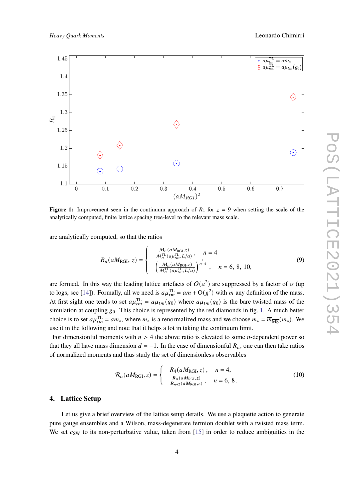<span id="page-3-0"></span>

**Figure 1:** Improvement seen in the continuum approach of  $R_4$  for  $z = 9$  when setting the scale of the analytically computed, finite lattice spacing tree-level to the relevant mass scale.

are analytically computed, so that the ratios

$$
R_n(aM_{\text{RGI}}, z) = \begin{cases} \frac{M_n(aM_{\text{RGI}}, z)}{M_n^{\text{TL}}(a\mu_{tm}^{\text{TL}}, L/a)}, & n = 4\\ \frac{M_n(aM_{\text{RGI}}, z)}{M_n^{\text{TL}}(a\mu_{tm}^{\text{TL}}, L/a)} \end{cases}, n = 6, 8, 10,
$$
\n
$$
(9)
$$

are formed. In this way the leading lattice artefacts of  $O(a^2)$  are suppressed by a factor of  $\alpha$  (up to logs, see [\[14\]](#page-9-2)). Formally, all we need is  $a\mu_{tm}^{TL} = am + O(g^2)$  with m any definition of the mass. At first sight one tends to set  $a\mu_{tm}^{TL} = a\mu_{tm}(g_0)$  where  $a\mu_{tm}(g_0)$  is the bare twisted mass of the simulation at coupling  $g_0$ . This choice is represented by the red diamonds in fig. [1.](#page-3-0) A much better choice is to set  $a\mu_{tm}^{TL} = am_*$ , where  $m_*$  is a renormalized mass and we choose  $m_* = \overline{m}_{\overline{MS}}(m_*)$ . We use it in the following and note that it helps a lot in taking the continuum limit.

For dimensionful moments with  $n > 4$  the above ratio is elevated to some *n*-dependent power so that they all have mass dimension  $d = -1$ . In the case of dimensionful  $R_n$ , one can then take ratios of normalized moments and thus study the set of dimensionless observables

<span id="page-3-1"></span>
$$
\mathcal{R}_n(aM_{\text{RGI}}, z) = \begin{cases} R_4(aM_{\text{RGI}}, z), & n = 4, \\ \frac{R_n(aM_{\text{RGI}}, z)}{R_{n+2}(aM_{\text{RGI}}, z)}, & n = 6, 8. \end{cases}
$$
(10)

#### **4. Lattice Setup**

Let us give a brief overview of the lattice setup details. We use a plaquette action to generate pure gauge ensembles and a Wilson, mass-degenerate fermion doublet with a twisted mass term. We set  $c_{SW}$  to its non-perturbative value, taken from [\[15\]](#page-9-3) in order to reduce ambiguities in the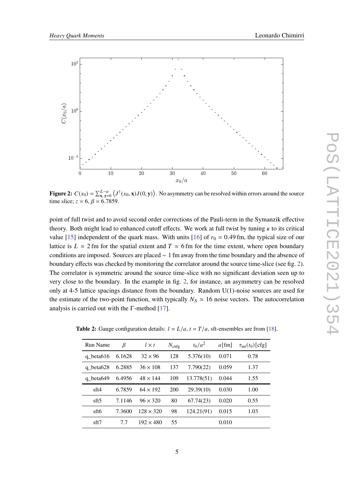<span id="page-4-0"></span>

**Figure 2:**  $C(x_0) = \sum_{\mathbf{x}, \mathbf{y}=0}^{L-a} \langle J^{\dagger}(x_0, \mathbf{x}) J(0, \mathbf{y}) \rangle$ . No asymmetry can be resolved within errors around the source time slice;  $z = 6$ ,  $\beta = 6.7859$ .

point of full twist and to avoid second order corrections of the Pauli-term in the Symanzik effective theory. Both might lead to enhanced cutoff effects. We work at full twist by tuning  $\kappa$  to its critical value [\[15\]](#page-9-3) independent of the quark mass. With units [\[16\]](#page-9-4) of  $r_0 = 0.49$  fm, the typical size of our lattice is  $L \approx 2$  fm for the spatial extent and  $T \approx 6$  fm for the time extent, where open boundary conditions are imposed. Sources are placed ∼ 1 fm away from the time boundary and the absence of boundary effects was checked by monitoring the correlator around the source time-slice (see fig. [2\)](#page-4-0). The correlator is symmetric around the source time-slice with no significant deviation seen up to very close to the boundary. In the example in fig. [2,](#page-4-0) for instance, an asymmetry can be resolved only at 4-5 lattice spacings distance from the boundary. Random U(1)-noise sources are used for the estimate of the two-point function, with typically  $N_s \approx 16$  noise vectors. The autocorrelation analysis is carried out with the Γ-method [\[17\]](#page-9-5).

| Run Name     | β      | $l \times t$     | $N_{\text{cnfg}}$ | $t_0/a^2$  | $a \text{[fm]}$ | $\tau_{\rm int}(t_0)$ [cfg] |
|--------------|--------|------------------|-------------------|------------|-----------------|-----------------------------|
| q beta $616$ | 6.1628 | $32 \times 96$   | 128               | 5.376(10)  | 0.071           | 0.78                        |
| q beta628    | 6.2885 | $36 \times 108$  | 137               | 7.790(22)  | 0.059           | 1.37                        |
| q beta649    | 6.4956 | $48 \times 144$  | 109               | 13.778(51) | 0.044           | 1.55                        |
| sft4         | 6.7859 | $64 \times 192$  | 200               | 29.39(10)  | 0.030           | 1.00                        |
| sft5         | 7.1146 | $96 \times 320$  | 80                | 67.74(23)  | 0.020           | 0.55                        |
| sft6         | 7.3600 | $128 \times 320$ | 98                | 124.21(91) | 0.015           | 1.03                        |
| sft7         | 7.7    | $192 \times 480$ | 55                |            | 0.010           |                             |

**Table 2:** Gauge configuration details:  $l = L/a$ ,  $t = T/a$ , sft-ensembles are from [\[18\]](#page-9-6).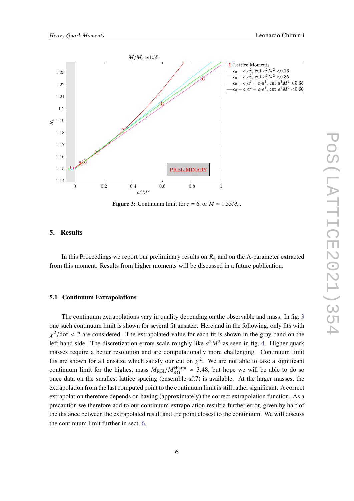<span id="page-5-0"></span>

**Figure 3:** Continuum limit for  $z = 6$ , or  $M \approx 1.55 M_c$ .

# **5. Results**

In this Proceedings we report our preliminary results on  $R_4$  and on the Λ-parameter extracted from this moment. Results from higher moments will be discussed in a future publication.

## **5.1 Continuum Extrapolations**

The continuum extrapolations vary in quality depending on the observable and mass. In fig. [3](#page-5-0) one such continuum limit is shown for several fit ansätze. Here and in the following, only fits with  $\chi^2$ /dof < 2 are considered. The extrapolated value for each fit is shown in the gray band on the left hand side. The discretization errors scale roughly like  $a^2M^2$  as seen in fig. [4.](#page-6-0) Higher quark masses require a better resolution and are computationally more challenging. Continuum limit fits are shown for all ansätze which satisfy our cut on  $\chi^2$ . We are not able to take a significant continuum limit for the highest mass  $M_{\text{RGI}}/M_{\text{RGI}}^{\text{charm}} \approx 3.48$ , but hope we will be able to do so once data on the smallest lattice spacing (ensemble sft7) is available. At the larger masses, the extrapolation from the last computed point to the continuum limit is still rather significant. A correct extrapolation therefore depends on having (approximately) the correct extrapolation function. As a precaution we therefore add to our continuum extrapolation result a further error, given by half of the distance between the extrapolated result and the point closest to the continuum. We will discuss the continuum limit further in sect. [6.](#page-7-0)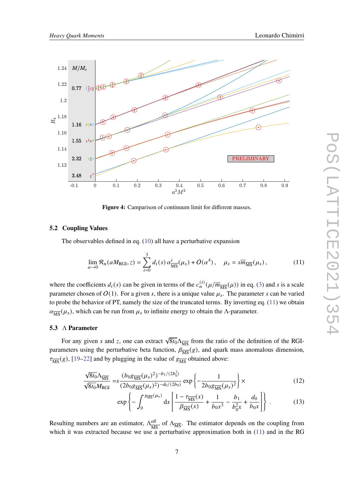<span id="page-6-0"></span>

**Figure 4:** Camparison of continuum limit for different masses.

#### **5.2 Coupling Values**

The observables defined in eq. [\(10\)](#page-3-1) all have a perturbative expansion

<span id="page-6-1"></span>
$$
\lim_{a \to 0} \mathcal{R}_n(aM_{\text{RGI}}, z) = \sum_{i=0}^3 d_i(s) \, \alpha_{\overline{\text{MS}}}^i(\mu_s) + O(\alpha^4) \,, \quad \mu_s = s\overline{m}_{\overline{\text{MS}}}(\mu_s) \,, \tag{11}
$$

where the coefficients  $d_i(s)$  can be given in terms of the  $c_n^{(i)}(\mu/\overline{m}_{\overline{MS}}(\mu))$  in eq. [\(3\)](#page-1-2) and s is a scale parameter chosen of  $O(1)$ . For a given s, there is a unique value  $\mu_s$ . The parameter s can be varied to probe the behavior of PT, namely the size of the truncated terms. By inverting eq. [\(11\)](#page-6-1) we obtain  $\alpha_{\overline{\rm MS}}(\mu_s)$ , which can be run from  $\mu_s$  to infinite energy to obtain the Λ-parameter.

#### **5.3** Λ **Parameter**

For any given s and z, one can extract  $\sqrt{8t_0}\Lambda_{\overline{MS}}$  from the ratio of the definition of the RGIparameters using the perturbative beta function,  $\beta_{\overline{MS}}(g)$ , and quark mass anomalous dimension,  $\tau_{\overline{\text{MS}}}(g)$ , [\[19–](#page-9-7)[22\]](#page-9-8) and by plugging in the value of  $g_{\overline{\text{MS}}}$  obtained above:

$$
\frac{\sqrt{8t_0}\Lambda_{\overline{\rm MS}}}{\sqrt{8t_0}M_{\rm RGI}} = s \frac{(b_0g_{\overline{\rm MS}}(\mu_s)^2)^{-b_1/(2b_0^2)}}{(2b_0g_{\overline{\rm MS}}(\mu_s)^2)^{-d_0/(2b_0)}} \exp\left\{-\frac{1}{2b_0g_{\overline{\rm MS}}(\mu_s)^2}\right\} \times
$$
(12)

$$
\exp\left\{-\int_0^{g_{\overline{\rm MS}}(\mu_s)} dx \left[\frac{1-\tau_{\overline{\rm MS}}(x)}{\beta_{\overline{\rm MS}}(x)} + \frac{1}{b_0 x^3} - \frac{b_1}{b_0^2 x} + \frac{d_0}{b_0 x}\right]\right\}.
$$
 (13)

Resulting numbers are an estimator,  $\Lambda_{\overline{AB}}^{\text{eff}}$  $\frac{\text{eff}}{\text{MS}}$ , of  $\Lambda_{\overline{\text{MS}}}$ . The estimator depends on the coupling from which it was extracted because we use a perturbative approximation both in [\(11\)](#page-6-1) and in the RG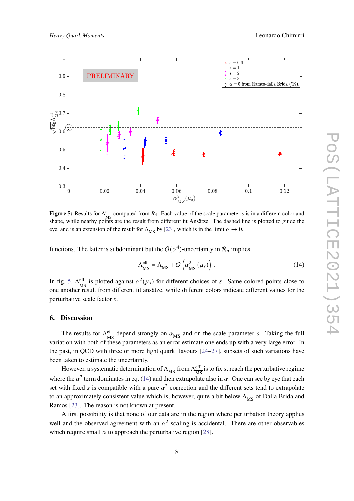<span id="page-7-1"></span>

**Figure 5:** Results for  $Λ_{\overline{M}}^{\text{eff}}$  $\frac{\text{eff}}{\text{MS}}$  computed from  $R_4$ . Each value of the scale parameter s is in a different color and shape, while nearby points are the result from different fit Ansätze. The dashed line is plotted to guide the eye, and is an extension of the result for  $\Lambda_{\overline{MS}}$  by [\[23\]](#page-9-9), which is in the limit  $\alpha \to 0$ .

functions. The latter is subdominant but the  $O(\alpha^4)$ -uncertainty in  $\mathcal{R}_n$  implies

<span id="page-7-2"></span>
$$
\Lambda_{\overline{\rm MS}}^{\rm eff} = \Lambda_{\overline{\rm MS}} + O\left(\alpha_{\overline{\rm MS}}^2\left(\mu_s\right)\right) \,. \tag{14}
$$

In fig. [5,](#page-7-1)  $\Lambda_{\overline{16}}^{\text{eff}}$  $\frac{\text{eff}}{\text{MS}}$  is plotted against  $\alpha^2(\mu_s)$  for different choices of s. Same-colored points close to one another result from different fit ansätze, while different colors indicate different values for the perturbative scale factor s.

## <span id="page-7-0"></span>**6. Discussion**

The results for  $\Lambda_{\overline{MS}}^{\text{eff}}$  $\frac{\text{eff}}{\text{MS}}$  depend strongly on  $\alpha_{\overline{\text{MS}}}$  and on the scale parameter *s*. Taking the full variation with both of these parameters as an error estimate one ends up with a very large error. In the past, in QCD with three or more light quark flavours [\[24](#page-9-10)[–27\]](#page-10-0), subsets of such variations have been taken to estimate the uncertainty.

However, a systematic determination of  $\Lambda_{\overline{\rm MS}}$  from  $\Lambda_{\overline{\rm MS}}^{\text{eff}}$  $\frac{\text{eff}}{\text{MS}}$  is to fix *s*, reach the perturbative regime where the  $\alpha^2$  term dominates in eq. [\(14\)](#page-7-2) and then extrapolate also in  $\alpha$ . One can see by eve that each set with fixed s is compatible with a pure  $\alpha^2$  correction and the different sets tend to extrapolate to an approximately consistent value which is, however, quite a bit below  $\Lambda_{\overline{MS}}$  of Dalla Brida and Ramos [\[23\]](#page-9-9). The reason is not known at present.

A first possibility is that none of our data are in the region where perturbation theory applies well and the observed agreement with an  $\alpha^2$  scaling is accidental. There are other observables which require small  $\alpha$  to approach the perturbative region [\[28\]](#page-10-1).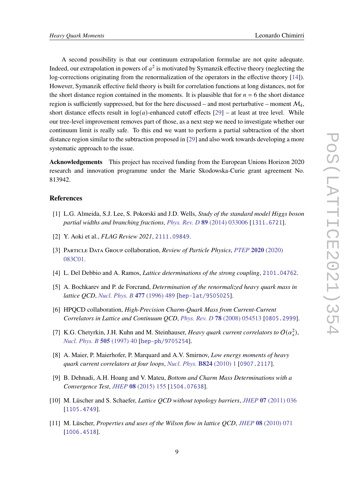A second possibility is that our continuum extrapolation formulae are not quite adequate. Indeed, our extrapolation in powers of  $a^2$  is motivated by Symanzik effective theory (neglecting the log-corrections originating from the renormalization of the operators in the effective theory [\[14\]](#page-9-2)). However, Symanzik effective field theory is built for correlation functions at long distances, not for the short distance region contained in the moments. It is plausible that for  $n = 6$  the short distance region is sufficiently suppressed, but for the here discussed – and most perturbative – moment  $\mathcal{M}_4$ , short distance effects result in  $log(a)$ -enhanced cutoff effects [\[29\]](#page-10-2) – at least at tree level. While our tree-level improvement removes part of those, as a next step we need to investigate whether our continuum limit is really safe. To this end we want to perform a partial subtraction of the short distance region similar to the subtraction proposed in [\[29\]](#page-10-2) and also work towards developing a more systematic approach to the issue.

**Acknowledgements** This project has received funding from the European Unions Horizon 2020 research and innovation programme under the Marie Skodowska-Curie grant agreement No. 813942.

## **References**

- <span id="page-8-0"></span>[1] L.G. Almeida, S.J. Lee, S. Pokorski and J.D. Wells, *Study of the standard model Higgs boson partial widths and branching fractions*, *[Phys. Rev. D](https://doi.org/10.1103/PhysRevD.89.033006)* **89** (2014) 033006 [[1311.6721](https://arxiv.org/abs/1311.6721)].
- <span id="page-8-1"></span>[2] Y. Aoki et al., *FLAG Review 2021*, [2111.09849](https://arxiv.org/abs/2111.09849).
- [3] Particle Data Group collaboration, *Review of Particle Physics*, *[PTEP](https://doi.org/10.1093/ptep/ptaa104)* **2020** (2020) [083C01.](https://doi.org/10.1093/ptep/ptaa104)
- <span id="page-8-2"></span>[4] L. Del Debbio and A. Ramos, *Lattice determinations of the strong coupling*, [2101.04762](https://arxiv.org/abs/2101.04762).
- <span id="page-8-3"></span>[5] A. Bochkarev and P. de Forcrand, *Determination of the renormalized heavy quark mass in lattice QCD*, *[Nucl. Phys. B](https://doi.org/10.1016/0550-3213(96)00396-3)* **477** (1996) 489 [[hep-lat/9505025](https://arxiv.org/abs/hep-lat/9505025)].
- <span id="page-8-4"></span>[6] HPQCD collaboration, *High-Precision Charm-Quark Mass from Current-Current Correlators in Lattice and Continuum QCD*, *[Phys. Rev. D](https://doi.org/10.1103/PhysRevD.78.054513)* **78** (2008) 054513 [[0805.2999](https://arxiv.org/abs/0805.2999)].
- <span id="page-8-5"></span>[7] K.G. Chetyrkin, J.H. Kuhn and M. Steinhauser, *Heavy quark current correlators to*  $O(\alpha_s^2)$ , *[Nucl. Phys. B](https://doi.org/10.1016/S0550-3213(97)00481-1)* **505** (1997) 40 [[hep-ph/9705254](https://arxiv.org/abs/hep-ph/9705254)].
- <span id="page-8-6"></span>[8] A. Maier, P. Maierhofer, P. Marquard and A.V. Smirnov, *Low energy moments of heavy quark current correlators at four loops*, *[Nucl. Phys.](https://doi.org/10.1016/j.nuclphysb.2009.08.011)* **B824** (2010) 1 [[0907.2117](https://arxiv.org/abs/0907.2117)].
- <span id="page-8-7"></span>[9] B. Dehnadi, A.H. Hoang and V. Mateu, *Bottom and Charm Mass Determinations with a Convergence Test*, *JHEP* **08** [\(2015\) 155](https://doi.org/10.1007/JHEP08(2015)155) [[1504.07638](https://arxiv.org/abs/1504.07638)].
- <span id="page-8-8"></span>[10] M. Lüscher and S. Schaefer, *Lattice QCD without topology barriers*, *JHEP* **07** [\(2011\) 036](https://doi.org/10.1007/JHEP07(2011)036) [[1105.4749](https://arxiv.org/abs/1105.4749)].
- <span id="page-8-9"></span>[11] M. Lüscher, *Properties and uses of the Wilson flow in lattice QCD*, *JHEP* **08** [\(2010\) 071](https://doi.org/10.1007/JHEP08(2010)071, 10.1007/JHEP03(2014)092) [[1006.4518](https://arxiv.org/abs/1006.4518)].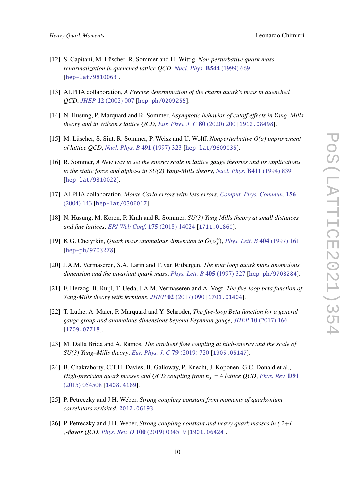- <span id="page-9-0"></span>[12] S. Capitani, M. Lüscher, R. Sommer and H. Wittig, *Non-perturbative quark mass renormalization in quenched lattice QCD*, *[Nucl. Phys.](https://doi.org/10.1016/S0550-3213(00)00163-2, 10.1016/S0550-3213(98)00857-8)* **B544** (1999) 669 [[hep-lat/9810063](https://arxiv.org/abs/hep-lat/9810063)].
- <span id="page-9-1"></span>[13] ALPHA collaboration, *A Precise determination of the charm quark's mass in quenched QCD*, *JHEP* **12** [\(2002\) 007](https://doi.org/10.1088/1126-6708/2002/12/007) [[hep-ph/0209255](https://arxiv.org/abs/hep-ph/0209255)].
- <span id="page-9-2"></span>[14] N. Husung, P. Marquard and R. Sommer, *Asymptotic behavior of cutoff effects in Yang–Mills theory and in Wilson's lattice QCD*, *[Eur. Phys. J. C](https://doi.org/10.1140/epjc/s10052-020-7685-4)* **80** (2020) 200 [[1912.08498](https://arxiv.org/abs/1912.08498)].
- <span id="page-9-3"></span>[15] M. Lüscher, S. Sint, R. Sommer, P. Weisz and U. Wolff, *Nonperturbative O(a) improvement of lattice QCD*, *[Nucl. Phys. B](https://doi.org/10.1016/S0550-3213(97)00080-1)* **491** (1997) 323 [[hep-lat/9609035](https://arxiv.org/abs/hep-lat/9609035)].
- <span id="page-9-4"></span>[16] R. Sommer, *A New way to set the energy scale in lattice gauge theories and its applications to the static force and alpha-s in SU(2) Yang-Mills theory*, *[Nucl. Phys.](https://doi.org/10.1016/0550-3213(94)90473-1)* **B411** (1994) 839 [[hep-lat/9310022](https://arxiv.org/abs/hep-lat/9310022)].
- <span id="page-9-5"></span>[17] ALPHA collaboration, *Monte Carlo errors with less errors*, *[Comput. Phys. Commun.](https://doi.org/10.1016/S0010-4655(03)00467-3)* **156** [\(2004\) 143](https://doi.org/10.1016/S0010-4655(03)00467-3) [[hep-lat/0306017](https://arxiv.org/abs/hep-lat/0306017)].
- <span id="page-9-6"></span>[18] N. Husung, M. Koren, P. Krah and R. Sommer, *SU(3) Yang Mills theory at small distances and fine lattices*, *[EPJ Web Conf.](https://doi.org/10.1051/epjconf/201817514024)* **175** (2018) 14024 [[1711.01860](https://arxiv.org/abs/1711.01860)].
- <span id="page-9-7"></span>[19] K.G. Chetyrkin, *Quark mass anomalous dimension to*  $O(\alpha_s^4)$ , *[Phys. Lett. B](https://doi.org/10.1016/S0370-2693(97)00535-2)* 404 (1997) 161 [[hep-ph/9703278](https://arxiv.org/abs/hep-ph/9703278)].
- [20] J.A.M. Vermaseren, S.A. Larin and T. van Ritbergen, *The four loop quark mass anomalous dimension and the invariant quark mass*, *[Phys. Lett. B](https://doi.org/10.1016/S0370-2693(97)00660-6)* **405** (1997) 327 [[hep-ph/9703284](https://arxiv.org/abs/hep-ph/9703284)].
- [21] F. Herzog, B. Ruijl, T. Ueda, J.A.M. Vermaseren and A. Vogt, *The five-loop beta function of Yang-Mills theory with fermions*, *JHEP* **02** [\(2017\) 090](https://doi.org/10.1007/JHEP02(2017)090) [[1701.01404](https://arxiv.org/abs/1701.01404)].
- <span id="page-9-8"></span>[22] T. Luthe, A. Maier, P. Marquard and Y. Schroder, *The five-loop Beta function for a general gauge group and anomalous dimensions beyond Feynman gauge*, *JHEP* **10** [\(2017\) 166](https://doi.org/10.1007/JHEP10(2017)166) [[1709.07718](https://arxiv.org/abs/1709.07718)].
- <span id="page-9-9"></span>[23] M. Dalla Brida and A. Ramos, *The gradient flow coupling at high-energy and the scale of SU(3) Yang–Mills theory*, *[Eur. Phys. J. C](https://doi.org/10.1140/epjc/s10052-019-7228-z)* **79** (2019) 720 [[1905.05147](https://arxiv.org/abs/1905.05147)].
- <span id="page-9-10"></span>[24] B. Chakraborty, C.T.H. Davies, B. Galloway, P. Knecht, J. Koponen, G.C. Donald et al., *High-precision quark masses and QCD coupling from*  $n_f = 4$  *lattice QCD, [Phys. Rev.](https://doi.org/10.1103/PhysRevD.91.054508)* **D91** [\(2015\) 054508](https://doi.org/10.1103/PhysRevD.91.054508) [[1408.4169](https://arxiv.org/abs/1408.4169)].
- [25] P. Petreczky and J.H. Weber, *Strong coupling constant from moments of quarkonium correlators revisited*, [2012.06193](https://arxiv.org/abs/2012.06193).
- [26] P. Petreczky and J.H. Weber, *Strong coupling constant and heavy quark masses in ( 2+1 )-flavor QCD*, *[Phys. Rev. D](https://doi.org/10.1103/PhysRevD.100.034519)* **100** (2019) 034519 [[1901.06424](https://arxiv.org/abs/1901.06424)].